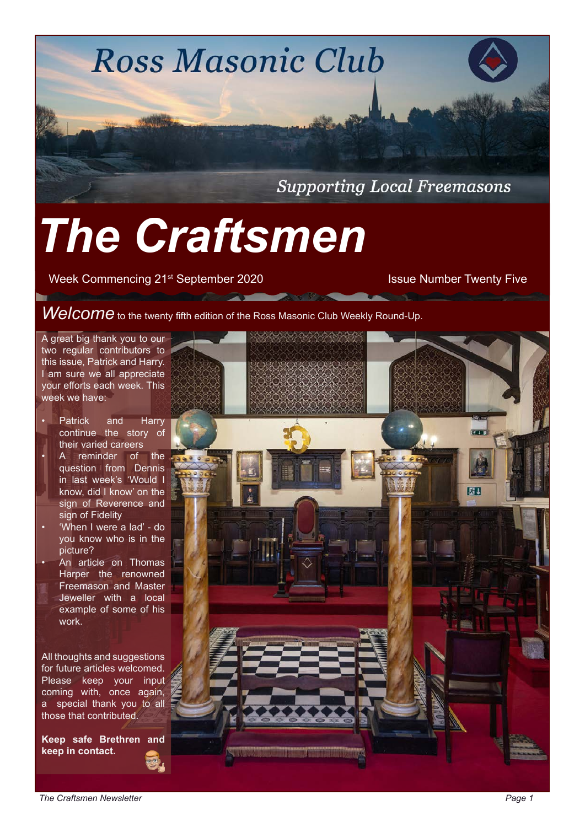**Ross Masonic Club Supporting Local Freemasons** 

**Deliver Reduction 2000 and 2000 and 2000 and 2000 and 2000** 

# *The Craftsmen*

Week Commencing 21<sup>st</sup> September 2020 Issue Number Twenty Five

*Welcome* to the twenty fifth edition of the Ross Masonic Club Weekly Round-Up.

A great big thank you to our two regular contributors to this issue, Patrick and Harry. I am sure we all appreciate your efforts each week. This week we have:

- Patrick and Harry continue the story of their varied careers
- A reminder of the question from Dennis in last week's 'Would I know, did I know' on the sign of Reverence and sign of Fidelity
- 'When I were a lad' do you know who is in the picture?
- An article on Thomas Harper the renowned Freemason and Master Jeweller with a local example of some of his work.

All thoughts and suggestions for future articles welcomed. Please keep your input coming with, once again, a special thank you to all those that contributed.

**Keep safe Brethren and keep in contact.** 

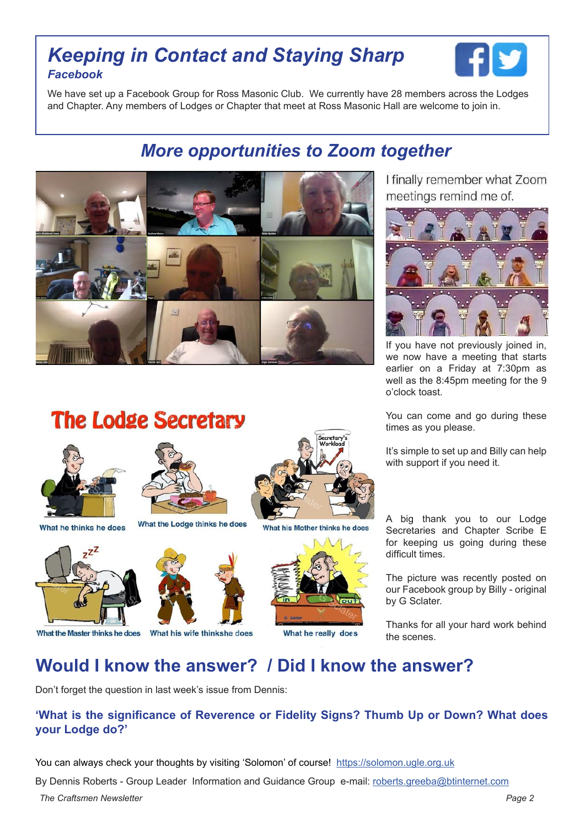#### *Keeping in Contact and Staying Sharp Facebook*



We have set up a Facebook Group for Ross Masonic Club. We currently have 28 members across the Lodges and Chapter. Any members of Lodges or Chapter that meet at Ross Masonic Hall are welcome to join in.

### *More opportunities to Zoom together*



I finally remember what Zoom meetings remind me of.



If you have not previously joined in, we now have a meeting that starts earlier on a Friday at 7:30pm as well as the 8:45pm meeting for the 9 o'clock toast.

You can come and go during these times as you please.

It's simple to set up and Billy can help with support if you need it.

A big thank you to our Lodge Secretaries and Chapter Scribe E for keeping us going during these difficult times.

The picture was recently posted on our Facebook group by Billy - original by G Sclater.

Thanks for all your hard work behind the scenes.

### **Would I know the answer? / Did I know the answer?**

Don't forget the question in last week's issue from Dennis:

#### **'What is the significance of Reverence or Fidelity Signs? Thumb Up or Down? What does your Lodge do?'**

You can always check your thoughts by visiting 'Solomon' of course! [https://solomon.ugle.org.uk](https://solomon.ugle.org.ukhttp://)

By Dennis Roberts - Group Leader Information and Guidance Group e-mail: [roberts.greeba@btinternet.com](mailto:roberts.greeba%40btinternet.com?subject=Craftsmen%20Answer)

*The Craftsmen Newsletter Page 2* 



**The Lodge Secretary** 

What the Master thinks he does

What he thinks he does





#### What his wife thinkshe does



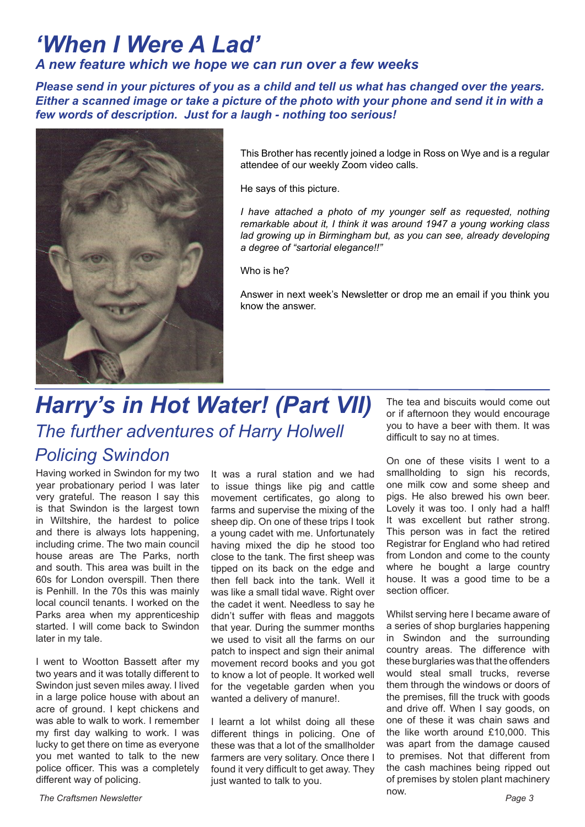# *'When I Were A Lad'*

#### *A new feature which we hope we can run over a few weeks*

*Please send in your pictures of you as a child and tell us what has changed over the years. Either a scanned image or take a picture of the photo with your phone and send it in with a few words of description. Just for a laugh - nothing too serious!*



This Brother has recently joined a lodge in Ross on Wye and is a regular attendee of our weekly Zoom video calls.

He says of this picture.

*I have attached a photo of my younger self as requested, nothing remarkable about it, I think it was around 1947 a young working class*  lad growing up in Birmingham but, as you can see, already developing *a degree of "sartorial elegance!!"*

Who is he?

Answer in next week's Newsletter or drop me an email if you think you know the answer.

# *Harry's in Hot Water! (Part VII) The further adventures of Harry Holwell Policing Swindon*

Having worked in Swindon for my two year probationary period I was later very grateful. The reason I say this is that Swindon is the largest town in Wiltshire, the hardest to police and there is always lots happening, including crime. The two main council house areas are The Parks, north and south. This area was built in the 60s for London overspill. Then there is Penhill. In the 70s this was mainly local council tenants. I worked on the Parks area when my apprenticeship started. I will come back to Swindon later in my tale.

I went to Wootton Bassett after my two years and it was totally different to Swindon just seven miles away. I lived in a large police house with about an acre of ground. I kept chickens and was able to walk to work. I remember my first day walking to work. I was lucky to get there on time as everyone you met wanted to talk to the new police officer. This was a completely different way of policing.

It was a rural station and we had to issue things like pig and cattle movement certificates, go along to farms and supervise the mixing of the sheep dip. On one of these trips I took a young cadet with me. Unfortunately having mixed the dip he stood too close to the tank. The first sheep was tipped on its back on the edge and then fell back into the tank. Well it was like a small tidal wave. Right over the cadet it went. Needless to say he didn't suffer with fleas and maggots that year. During the summer months we used to visit all the farms on our patch to inspect and sign their animal movement record books and you got to know a lot of people. It worked well for the vegetable garden when you wanted a delivery of manure!.

I learnt a lot whilst doing all these different things in policing. One of these was that a lot of the smallholder farmers are very solitary. Once there I found it very difficult to get away. They just wanted to talk to you.

The tea and biscuits would come out or if afternoon they would encourage you to have a beer with them. It was difficult to say no at times.

On one of these visits I went to a smallholding to sign his records, one milk cow and some sheep and pigs. He also brewed his own beer. Lovely it was too. I only had a half! It was excellent but rather strong. This person was in fact the retired Registrar for England who had retired from London and come to the county where he bought a large country house. It was a good time to be a section officer.

Whilst serving here I became aware of a series of shop burglaries happening in Swindon and the surrounding country areas. The difference with these burglaries was that the offenders would steal small trucks, reverse them through the windows or doors of the premises, fill the truck with goods and drive off. When I say goods, on one of these it was chain saws and the like worth around £10,000. This was apart from the damage caused to premises. Not that different from the cash machines being ripped out of premises by stolen plant machinery now.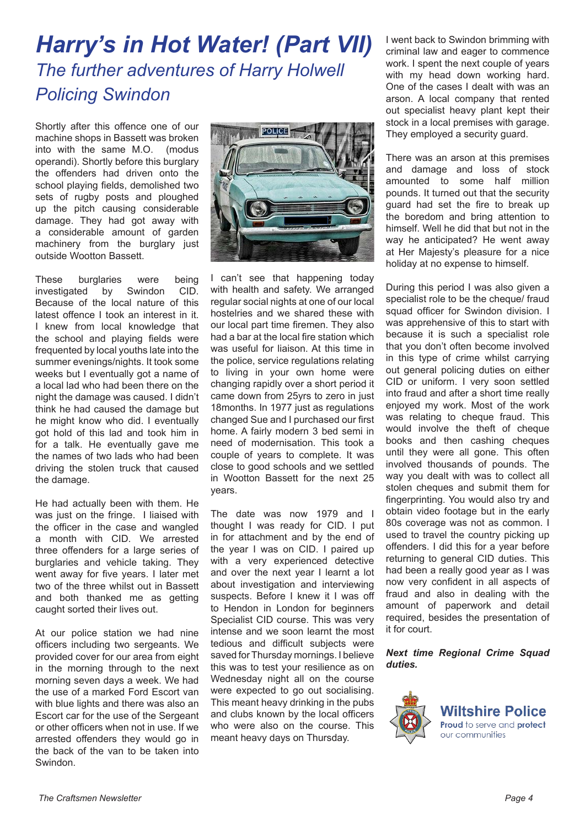# *Harry's in Hot Water! (Part VII) The further adventures of Harry Holwell Policing Swindon*

Shortly after this offence one of our machine shops in Bassett was broken into with the same M.O. (modus operandi). Shortly before this burglary the offenders had driven onto the school playing fields, demolished two sets of rugby posts and ploughed up the pitch causing considerable damage. They had got away with a considerable amount of garden machinery from the burglary just outside Wootton Bassett.

These burglaries were being investigated by Swindon CID. Because of the local nature of this latest offence I took an interest in it. I knew from local knowledge that the school and playing fields were frequented by local youths late into the summer evenings/nights. It took some weeks but I eventually got a name of a local lad who had been there on the night the damage was caused. I didn't think he had caused the damage but he might know who did. I eventually got hold of this lad and took him in for a talk. He eventually gave me the names of two lads who had been driving the stolen truck that caused the damage.

He had actually been with them. He was just on the fringe. I liaised with the officer in the case and wangled a month with CID. We arrested three offenders for a large series of burglaries and vehicle taking. They went away for five years. I later met two of the three whilst out in Bassett and both thanked me as getting caught sorted their lives out.

At our police station we had nine officers including two sergeants. We provided cover for our area from eight in the morning through to the next morning seven days a week. We had the use of a marked Ford Escort van with blue lights and there was also an Escort car for the use of the Sergeant or other officers when not in use. If we arrested offenders they would go in the back of the van to be taken into Swindon.



I can't see that happening today with health and safety. We arranged regular social nights at one of our local hostelries and we shared these with our local part time firemen. They also had a bar at the local fire station which was useful for liaison. At this time in the police, service regulations relating to living in your own home were changing rapidly over a short period it came down from 25yrs to zero in just 18months. In 1977 just as regulations changed Sue and I purchased our first home. A fairly modern 3 bed semi in need of modernisation. This took a couple of years to complete. It was close to good schools and we settled in Wootton Bassett for the next 25 years.

The date was now 1979 and I thought I was ready for CID. I put in for attachment and by the end of the year I was on CID. I paired up with a very experienced detective and over the next year I learnt a lot about investigation and interviewing suspects. Before I knew it I was off to Hendon in London for beginners Specialist CID course. This was very intense and we soon learnt the most tedious and difficult subjects were saved for Thursday mornings. I believe this was to test your resilience as on Wednesday night all on the course were expected to go out socialising. This meant heavy drinking in the pubs and clubs known by the local officers who were also on the course. This meant heavy days on Thursday.

I went back to Swindon brimming with criminal law and eager to commence work. I spent the next couple of years with my head down working hard. One of the cases I dealt with was an arson. A local company that rented out specialist heavy plant kept their stock in a local premises with garage. They employed a security guard.

There was an arson at this premises and damage and loss of stock amounted to some half million pounds. It turned out that the security guard had set the fire to break up the boredom and bring attention to himself. Well he did that but not in the way he anticipated? He went away at Her Majesty's pleasure for a nice holiday at no expense to himself.

During this period I was also given a specialist role to be the cheque/ fraud squad officer for Swindon division. I was apprehensive of this to start with because it is such a specialist role that you don't often become involved in this type of crime whilst carrying out general policing duties on either CID or uniform. I very soon settled into fraud and after a short time really enjoyed my work. Most of the work was relating to cheque fraud. This would involve the theft of cheque books and then cashing cheques until they were all gone. This often involved thousands of pounds. The way you dealt with was to collect all stolen cheques and submit them for fingerprinting. You would also try and obtain video footage but in the early 80s coverage was not as common. I used to travel the country picking up offenders. I did this for a year before returning to general CID duties. This had been a really good year as I was now very confident in all aspects of fraud and also in dealing with the amount of paperwork and detail required, besides the presentation of it for court.

*Next time Regional Crime Squad duties.*



**Wiltshire Police** Proud to serve and protect our communities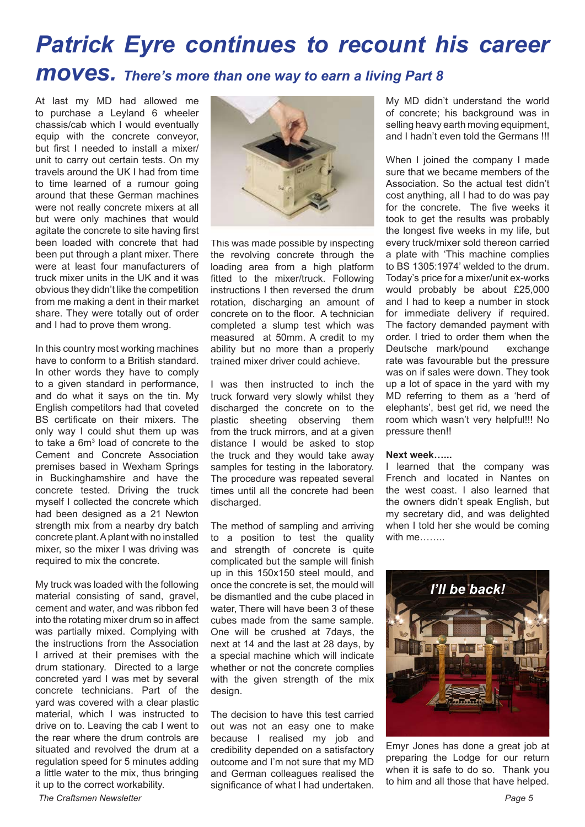# *Patrick Eyre continues to recount his career moves. There's more than one way to earn a living Part 8*

At last my MD had allowed me to purchase a Leyland 6 wheeler chassis/cab which I would eventually equip with the concrete conveyor, but first I needed to install a mixer/ unit to carry out certain tests. On my travels around the UK I had from time to time learned of a rumour going around that these German machines were not really concrete mixers at all but were only machines that would agitate the concrete to site having first been loaded with concrete that had been put through a plant mixer. There were at least four manufacturers of truck mixer units in the UK and it was obvious they didn't like the competition from me making a dent in their market share. They were totally out of order and I had to prove them wrong.

In this country most working machines have to conform to a British standard. In other words they have to comply to a given standard in performance, and do what it says on the tin. My English competitors had that coveted BS certificate on their mixers. The only way I could shut them up was to take a 6m<sup>3</sup> load of concrete to the Cement and Concrete Association premises based in Wexham Springs in Buckinghamshire and have the concrete tested. Driving the truck myself I collected the concrete which had been designed as a 21 Newton strength mix from a nearby dry batch concrete plant. A plant with no installed mixer, so the mixer I was driving was required to mix the concrete.

My truck was loaded with the following material consisting of sand, gravel, cement and water, and was ribbon fed into the rotating mixer drum so in affect was partially mixed. Complying with the instructions from the Association I arrived at their premises with the drum stationary. Directed to a large concreted yard I was met by several concrete technicians. Part of the yard was covered with a clear plastic material, which I was instructed to drive on to. Leaving the cab I went to the rear where the drum controls are situated and revolved the drum at a regulation speed for 5 minutes adding a little water to the mix, thus bringing it up to the correct workability.



This was made possible by inspecting the revolving concrete through the loading area from a high platform fitted to the mixer/truck. Following instructions I then reversed the drum rotation, discharging an amount of concrete on to the floor. A technician completed a slump test which was measured at 50mm. A credit to my ability but no more than a properly trained mixer driver could achieve.

I was then instructed to inch the truck forward very slowly whilst they discharged the concrete on to the plastic sheeting observing them from the truck mirrors, and at a given distance I would be asked to stop the truck and they would take away samples for testing in the laboratory. The procedure was repeated several times until all the concrete had been discharged.

The method of sampling and arriving to a position to test the quality and strength of concrete is quite complicated but the sample will finish up in this 150x150 steel mould, and once the concrete is set, the mould will be dismantled and the cube placed in water, There will have been 3 of these cubes made from the same sample. One will be crushed at 7days, the next at 14 and the last at 28 days, by a special machine which will indicate whether or not the concrete complies with the given strength of the mix design.

The decision to have this test carried out was not an easy one to make because I realised my job and credibility depended on a satisfactory outcome and I'm not sure that my MD and German colleagues realised the significance of what I had undertaken. My MD didn't understand the world of concrete; his background was in selling heavy earth moving equipment, and I hadn't even told the Germans !!!

When I joined the company I made sure that we became members of the Association. So the actual test didn't cost anything, all I had to do was pay for the concrete. The five weeks it took to get the results was probably the longest five weeks in my life, but every truck/mixer sold thereon carried a plate with 'This machine complies to BS 1305:1974' welded to the drum. Today's price for a mixer/unit ex-works would probably be about £25,000 and I had to keep a number in stock for immediate delivery if required. The factory demanded payment with order. I tried to order them when the Deutsche mark/pound exchange rate was favourable but the pressure was on if sales were down. They took up a lot of space in the yard with my MD referring to them as a 'herd of elephants', best get rid, we need the room which wasn't very helpful!!! No pressure then!!

#### **Next week…...**

I learned that the company was French and located in Nantes on the west coast. I also learned that the owners didn't speak English, but my secretary did, and was delighted when I told her she would be coming with me…….



Emyr Jones has done a great job at preparing the Lodge for our return when it is safe to do so. Thank you to him and all those that have helped.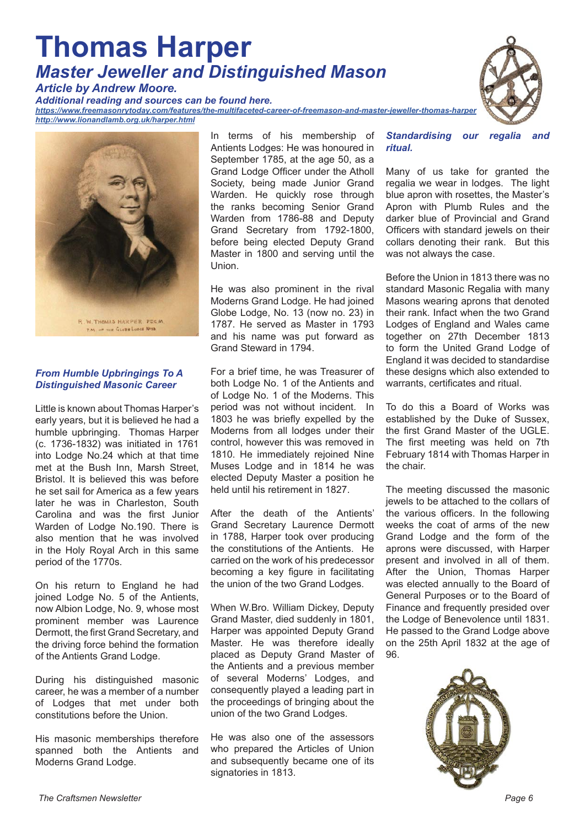# **Thomas Harper**  *Master Jeweller and Distinguished Mason*

*Article by Andrew Moore.* 

*Additional reading and sources can be found here.*

*[https://www.freemasonrytoday.com/features/the-multifaceted-career-of-freemason-and-master-jeweller-thomas-harper](https://www.freemasonrytoday.com/features/the-multifaceted-career-of-freemason-and-master-jeweller-t) <http://www.lionandlamb.org.uk/harper.html>*



#### *From Humble Upbringings To A Distinguished Masonic Career*

Little is known about Thomas Harper's early years, but it is believed he had a humble upbringing. Thomas Harper (c. 1736-1832) was initiated in 1761 into Lodge No.24 which at that time met at the Bush Inn, Marsh Street, Bristol. It is believed this was before he set sail for America as a few years later he was in Charleston, South Carolina and was the first Junior Warden of Lodge No.190. There is also mention that he was involved in the Holy Royal Arch in this same period of the 1770s.

On his return to England he had joined Lodge No. 5 of the Antients, now Albion Lodge, No. 9, whose most prominent member was Laurence Dermott, the first Grand Secretary, and the driving force behind the formation of the Antients Grand Lodge.

During his distinguished masonic career, he was a member of a number of Lodges that met under both constitutions before the Union.

His masonic memberships therefore spanned both the Antients and Moderns Grand Lodge.

In terms of his membership of Antients Lodges: He was honoured in September 1785, at the age 50, as a Grand Lodge Officer under the Atholl Society, being made Junior Grand Warden. He quickly rose through the ranks becoming Senior Grand Warden from 1786-88 and Deputy Grand Secretary from 1792-1800, before being elected Deputy Grand Master in 1800 and serving until the Union.

He was also prominent in the rival Moderns Grand Lodge. He had joined Globe Lodge, No. 13 (now no. 23) in 1787. He served as Master in 1793 and his name was put forward as Grand Steward in 1794.

For a brief time, he was Treasurer of both Lodge No. 1 of the Antients and of Lodge No. 1 of the Moderns. This period was not without incident. In 1803 he was briefly expelled by the Moderns from all lodges under their control, however this was removed in 1810. He immediately rejoined Nine Muses Lodge and in 1814 he was elected Deputy Master a position he held until his retirement in 1827.

After the death of the Antients' Grand Secretary Laurence Dermott in 1788, Harper took over producing the constitutions of the Antients. He carried on the work of his predecessor becoming a key figure in facilitating the union of the two Grand Lodges.

When W.Bro. William Dickey, Deputy Grand Master, died suddenly in 1801, Harper was appointed Deputy Grand Master. He was therefore ideally placed as Deputy Grand Master of the Antients and a previous member of several Moderns' Lodges, and consequently played a leading part in the proceedings of bringing about the union of the two Grand Lodges.

He was also one of the assessors who prepared the Articles of Union and subsequently became one of its signatories in 1813.



*Standardising our regalia and ritual.*

Many of us take for granted the regalia we wear in lodges. The light blue apron with rosettes, the Master's Apron with Plumb Rules and the darker blue of Provincial and Grand Officers with standard jewels on their collars denoting their rank. But this was not always the case.

Before the Union in 1813 there was no standard Masonic Regalia with many Masons wearing aprons that denoted their rank. Infact when the two Grand Lodges of England and Wales came together on 27th December 1813 to form the United Grand Lodge of England it was decided to standardise these designs which also extended to warrants, certificates and ritual.

To do this a Board of Works was established by the Duke of Sussex, the first Grand Master of the UGLE. The first meeting was held on 7th February 1814 with Thomas Harper in the chair.

The meeting discussed the masonic jewels to be attached to the collars of the various officers. In the following weeks the coat of arms of the new Grand Lodge and the form of the aprons were discussed, with Harper present and involved in all of them. After the Union, Thomas Harper was elected annually to the Board of General Purposes or to the Board of Finance and frequently presided over the Lodge of Benevolence until 1831. He passed to the Grand Lodge above on the 25th April 1832 at the age of 96.